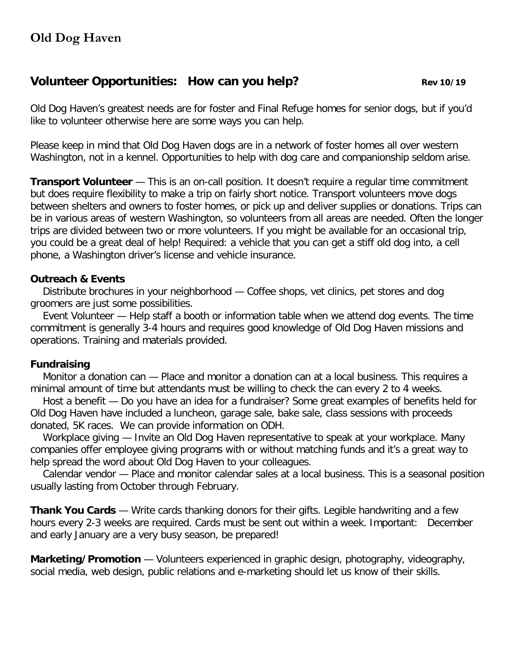# **Volunteer Opportunities:** How can you help? **Rev** 10/19

Old Dog Haven's greatest needs are for foster and Final Refuge homes for senior dogs, but if you'd like to volunteer otherwise here are some ways you can help.

Please keep in mind that Old Dog Haven dogs are in a network of foster homes all over western Washington, not in a kennel. Opportunities to help with dog care and companionship seldom arise.

**Transport Volunteer** — This is an on-call position. It doesn't require a requiar time commitment but does require flexibility to make a trip on fairly short notice. Transport volunteers move dogs between shelters and owners to foster homes, or pick up and deliver supplies or donations. Trips can be in various areas of western Washington, so volunteers from all areas are needed. Often the longer trips are divided between two or more volunteers. If you might be available for an occasional trip, you could be a great deal of help! Required: a vehicle that you can get a stiff old dog into, a cell phone, a Washington driver's license and vehicle insurance.

### **Outreach & Events**

 Distribute brochures in your neighborhood — Coffee shops, vet clinics, pet stores and dog groomers are just some possibilities.

 Event Volunteer — Help staff a booth or information table when we attend dog events. The time commitment is generally 3-4 hours and requires good knowledge of Old Dog Haven missions and operations. Training and materials provided.

## **Fundraising**

 Monitor a donation can — Place and monitor a donation can at a local business. This requires a minimal amount of time but attendants must be willing to check the can every 2 to 4 weeks.

 Host a benefit — Do you have an idea for a fundraiser? Some great examples of benefits held for Old Dog Haven have included a luncheon, garage sale, bake sale, class sessions with proceeds donated, 5K races. We can provide information on ODH.

 Workplace giving — Invite an Old Dog Haven representative to speak at your workplace. Many companies offer employee giving programs with or without matching funds and it's a great way to help spread the word about Old Dog Haven to your colleagues.

 Calendar vendor — Place and monitor calendar sales at a local business. This is a seasonal position usually lasting from October through February.

**Thank You Cards** — Write cards thanking donors for their gifts. Legible handwriting and a few hours every 2-3 weeks are required. Cards must be sent out within a week. Important: December and early January are a very busy season, be prepared!

**Marketing/Promotion** — Volunteers experienced in graphic design, photography, videography, social media, web design, public relations and e-marketing should let us know of their skills.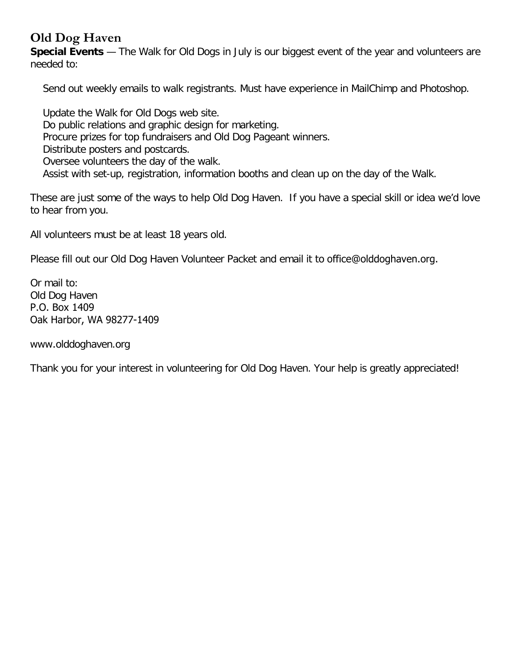# **Old Dog Haven**

**Special Events** — The Walk for Old Dogs in July is our biggest event of the year and volunteers are needed to:

Send out weekly emails to walk registrants. Must have experience in MailChimp and Photoshop.

Update the Walk for Old Dogs web site. Do public relations and graphic design for marketing. Procure prizes for top fundraisers and Old Dog Pageant winners. Distribute posters and postcards. Oversee volunteers the day of the walk. Assist with set-up, registration, information booths and clean up on the day of the Walk.

These are just some of the ways to help Old Dog Haven. If you have a special skill or idea we'd love to hear from you.

All volunteers must be at least 18 years old.

Please fill out our Old Dog Haven Volunteer Packet and email it to office@olddoghaven.org.

Or mail to: Old Dog Haven P.O. Box 1409 Oak Harbor, WA 98277-1409

www.olddoghaven.org

Thank you for your interest in volunteering for Old Dog Haven. Your help is greatly appreciated!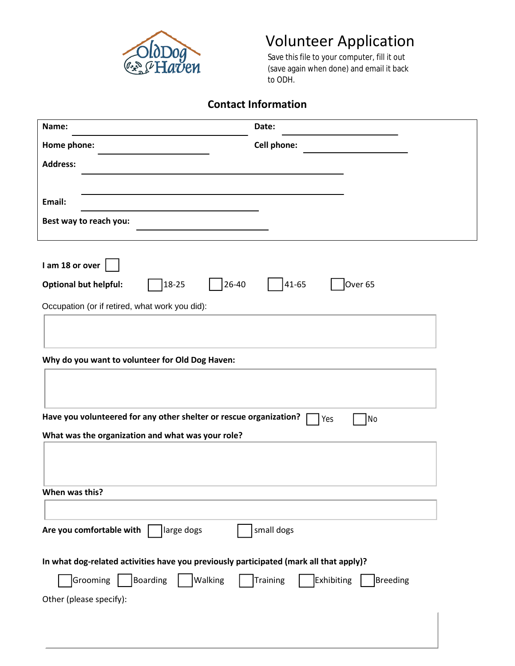

# Volunteer Application<br>Save this file to your computer, fill it out

# **Contact Information**

| Swoog<br>• PHaven                                                                      | Save this file to your computer, fill it out<br>(save again when done) and email it back<br>to ODH. |
|----------------------------------------------------------------------------------------|-----------------------------------------------------------------------------------------------------|
|                                                                                        | <b>Contact Information</b>                                                                          |
| Name:                                                                                  | Date:                                                                                               |
| Home phone:                                                                            | Cell phone:                                                                                         |
| <b>Address:</b>                                                                        |                                                                                                     |
|                                                                                        |                                                                                                     |
| Email:                                                                                 |                                                                                                     |
| Best way to reach you:                                                                 |                                                                                                     |
|                                                                                        |                                                                                                     |
| I am 18 or over                                                                        |                                                                                                     |
| 18-25<br>26-40<br><b>Optional but helpful:</b>                                         | Over <sub>65</sub><br>41-65                                                                         |
|                                                                                        |                                                                                                     |
| Occupation (or if retired, what work you did):                                         |                                                                                                     |
|                                                                                        |                                                                                                     |
| Why do you want to volunteer for Old Dog Haven:                                        |                                                                                                     |
|                                                                                        |                                                                                                     |
|                                                                                        |                                                                                                     |
| Have you volunteered for any other shelter or rescue organization?                     | <b>No</b><br>Yes                                                                                    |
| What was the organization and what was your role?                                      |                                                                                                     |
|                                                                                        |                                                                                                     |
|                                                                                        |                                                                                                     |
| When was this?                                                                         |                                                                                                     |
|                                                                                        |                                                                                                     |
| Are you comfortable with<br>large dogs                                                 | small dogs                                                                                          |
|                                                                                        |                                                                                                     |
| In what dog-related activities have you previously participated (mark all that apply)? |                                                                                                     |
| Walking<br>Grooming<br>Boarding                                                        | Training<br><b>Exhibiting</b><br><b>Breeding</b>                                                    |
| Other (please specify):                                                                |                                                                                                     |
|                                                                                        |                                                                                                     |
|                                                                                        |                                                                                                     |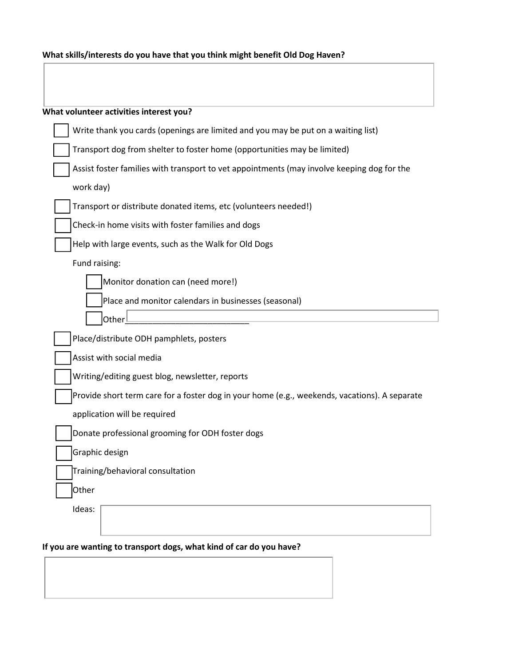| What skills/interests do you have that you think might benefit Old Dog Haven? |  |  |
|-------------------------------------------------------------------------------|--|--|
|-------------------------------------------------------------------------------|--|--|

| What volunteer activities interest you?                                                       |
|-----------------------------------------------------------------------------------------------|
| Write thank you cards (openings are limited and you may be put on a waiting list)             |
| Transport dog from shelter to foster home (opportunities may be limited)                      |
| Assist foster families with transport to vet appointments (may involve keeping dog for the    |
| work day)                                                                                     |
| Transport or distribute donated items, etc (volunteers needed!)                               |
| Check-in home visits with foster families and dogs                                            |
| Help with large events, such as the Walk for Old Dogs                                         |
| Fund raising:                                                                                 |
| Monitor donation can (need more!)                                                             |
| Place and monitor calendars in businesses (seasonal)                                          |
| Other                                                                                         |
| Place/distribute ODH pamphlets, posters                                                       |
| Assist with social media                                                                      |
| Writing/editing guest blog, newsletter, reports                                               |
| Provide short term care for a foster dog in your home (e.g., weekends, vacations). A separate |
| application will be required                                                                  |
| Donate professional grooming for ODH foster dogs                                              |
| Graphic design                                                                                |
| Training/behavioral consultation                                                              |
| Other                                                                                         |
| Ideas:                                                                                        |
|                                                                                               |
|                                                                                               |

## **If you are wanting to transport dogs, what kind of car do you have?**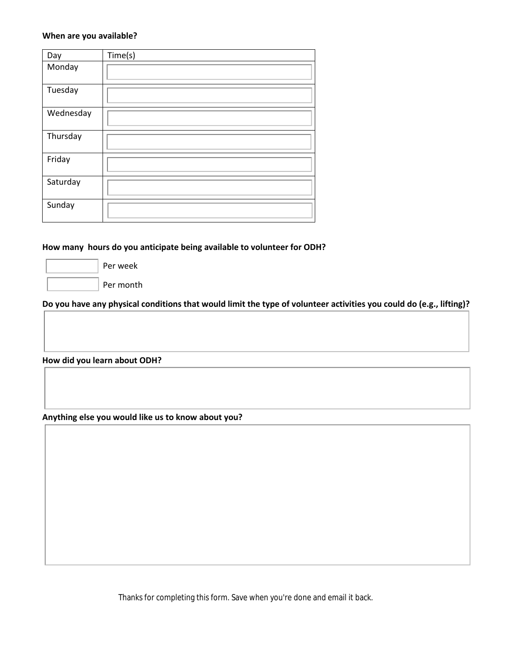#### **When are you available?**

| Day       | Time(s) |
|-----------|---------|
| Monday    |         |
| Tuesday   |         |
| Wednesday |         |
| Thursday  |         |
| Friday    |         |
| Saturday  |         |
| Sunday    |         |

#### **How many hours do you anticipate being available to volunteer for ODH?**

Per week

Per month

**Do you have any physical conditions that would limit the type of volunteer activities you could do (e.g., lifting)?**

**How did you learn about ODH?**

**Anything else you would like us to know about you?**

Thanks for completing this form. Save when you're done and email it back.